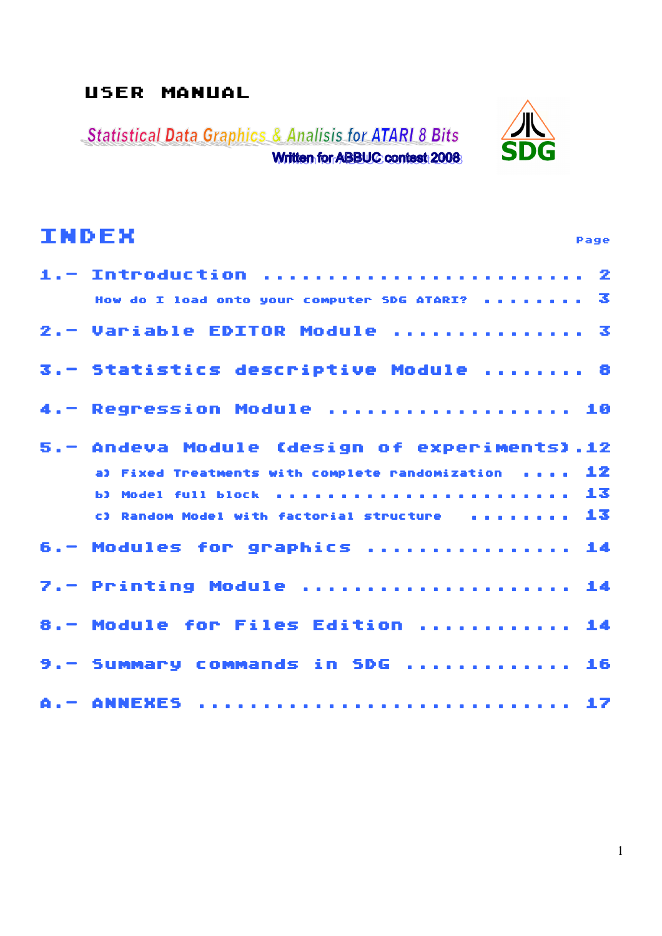# USER MANUAL

**Statistical Data Graphics & Analisis for ATARI 8 Bits** Written for ABBUC contest 2008



| <b>INDEX</b><br>Page                                             |
|------------------------------------------------------------------|
| 1. - Introduction  2                                             |
| How do I load onto your computer SDG ATARI? $\overline{3}$       |
| 2.- Variable EDITOR Module  3                                    |
| 3.- Statistics descriptive Module  8                             |
| 4. - Regression Module  10                                       |
| 5.- Andeva Module (design of experiments).12                     |
| a) Fixed Treatments with complete randomization $\ldots$ . $12$  |
| $\blacksquare$ b) Model full block in the transformation of $13$ |
| c) Random Model with factorial structure $\ldots \ldots \ldots$  |
| 6.- Modules for graphics  14                                     |
| 7.- Printing Module  14                                          |
| 8.- Module for Files Edition  14                                 |
| 9. - Summary commands in SDG  16                                 |
| A. - ANNEXES  17                                                 |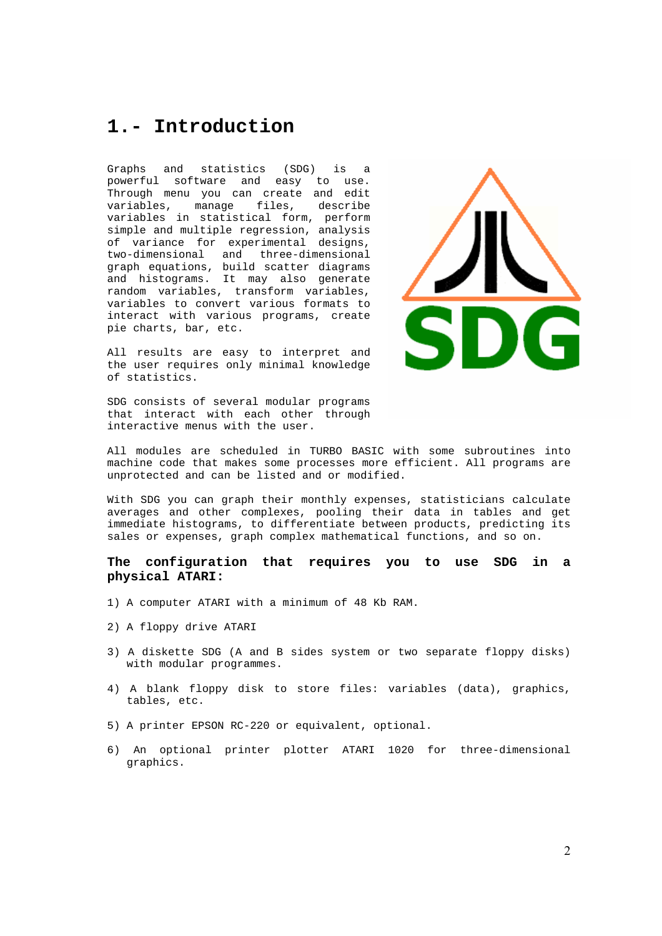# **1.- Introduction**

Graphs and statistics (SDG) is a powerful software and easy to use. Through menu you can create and edit variables, manage files, describe variables in statistical form, perform simple and multiple regression, analysis of variance for experimental designs, two-dimensional and three-dimensional graph equations, build scatter diagrams and histograms. It may also generate random variables, transform variables, variables to convert various formats to interact with various programs, create pie charts, bar, etc.

All results are easy to interpret and the user requires only minimal knowledge of statistics.

SDG consists of several modular programs that interact with each other through interactive menus with the user.



All modules are scheduled in TURBO BASIC with some subroutines into machine code that makes some processes more efficient. All programs are unprotected and can be listed and or modified.

With SDG you can graph their monthly expenses, statisticians calculate averages and other complexes, pooling their data in tables and get immediate histograms, to differentiate between products, predicting its sales or expenses, graph complex mathematical functions, and so on.

#### **The configuration that requires you to use SDG in a physical ATARI:**

- 1) A computer ATARI with a minimum of 48 Kb RAM.
- 2) A floppy drive ATARI
- 3) A diskette SDG (A and B sides system or two separate floppy disks) with modular programmes.
- 4) A blank floppy disk to store files: variables (data), graphics, tables, etc.
- 5) A printer EPSON RC-220 or equivalent, optional.
- 6) An optional printer plotter ATARI 1020 for three-dimensional graphics.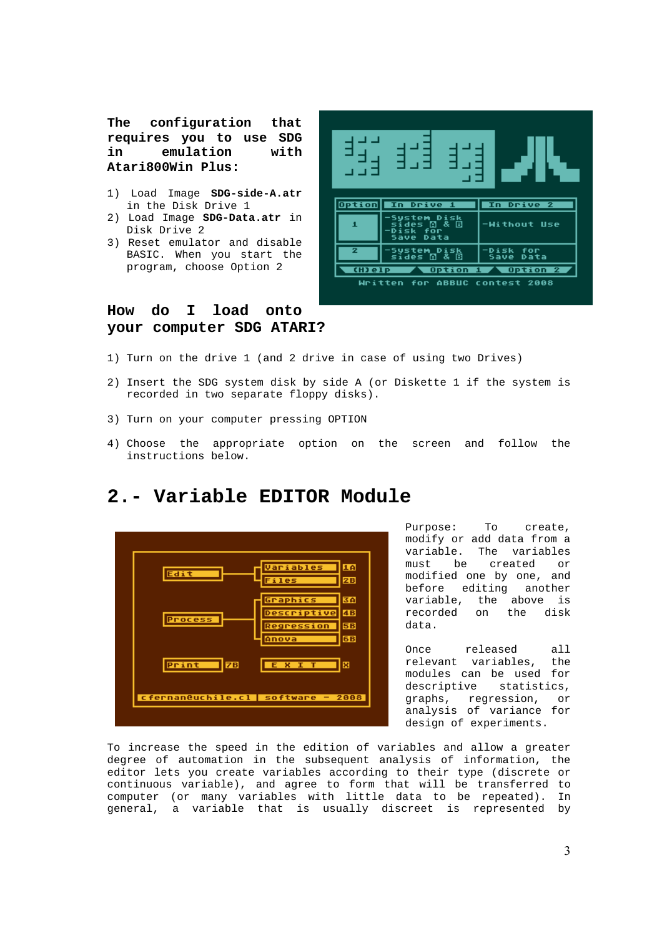**The configuration that requires you to use SDG in emulation with Atari800Win Plus:**

- 1) Load Image **SDG-side-A.atr** in the Disk Drive 1
- 2) Load Image **SDG-Data.atr** in Disk Drive 2
- 3) Reset emulator and disable BASIC. When you start the program, choose Option 2

#### **How do I load onto your computer SDG ATARI?**



- 1) Turn on the drive 1 (and 2 drive in case of using two Drives)
- 2) Insert the SDG system disk by side A (or Diskette 1 if the system is recorded in two separate floppy disks).
- 3) Turn on your computer pressing OPTION
- 4) Choose the appropriate option on the screen and follow the instructions below.



### **2.- Variable EDITOR Module**

Purpose: To create, modify or add data from a variable. The variables must be created or modified one by one, and before editing another variable, the above is recorded on the disk data.

Once released all relevant variables, the modules can be used for descriptive statistics, graphs, regression, or analysis of variance for design of experiments.

To increase the speed in the edition of variables and allow a greater degree of automation in the subsequent analysis of information, the editor lets you create variables according to their type (discrete or continuous variable), and agree to form that will be transferred to computer (or many variables with little data to be repeated). In general, a variable that is usually discreet is represented by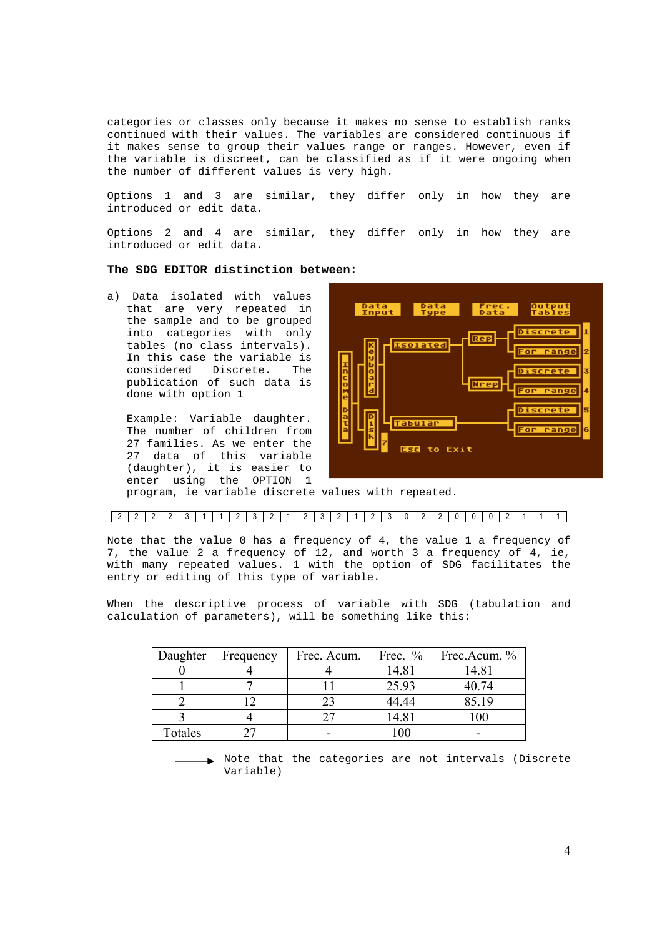categories or classes only because it makes no sense to establish ranks continued with their values. The variables are considered continuous if it makes sense to group their values range or ranges. However, even if the variable is discreet, can be classified as if it were ongoing when the number of different values is very high.

Options 1 and 3 are similar, they differ only in how they are introduced or edit data.

Options 2 and 4 are similar, they differ only in how they are introduced or edit data.

#### **The SDG EDITOR distinction between:**

a) Data isolated with values that are very repeated in the sample and to be grouped into categories with only tables (no class intervals). In this case the variable is considered Discrete. The publication of such data is done with option 1

Example: Variable daughter. The number of children from 27 families. As we enter the 27 data of this variable (daughter), it is easier to enter using the OPTION 1



program, ie variable discrete values with repeated.

#### 2 2 2 2 3 1 1 2 3 2 1 2 3 2 1 2 3 0 2 2 0 0 0 2 1 1 1

Note that the value 0 has a frequency of 4, the value 1 a frequency of 7, the value 2 a frequency of 12, and worth 3 a frequency of 4, ie, with many repeated values. 1 with the option of SDG facilitates the entry or editing of this type of variable.

When the descriptive process of variable with SDG (tabulation and calculation of parameters), will be something like this:

| Daughter | Frequency | Frec. Acum. | Frec. $\%$ | Frec.Acum. % |
|----------|-----------|-------------|------------|--------------|
|          |           |             | 14.81      | 14.81        |
|          |           |             | 25.93      | 40.74        |
|          |           |             | 44.44      | 85.19        |
|          |           |             | 14.81      | 100          |
| Totales  |           |             | 100        |              |

Note that the categories are not intervals (Discrete Variable)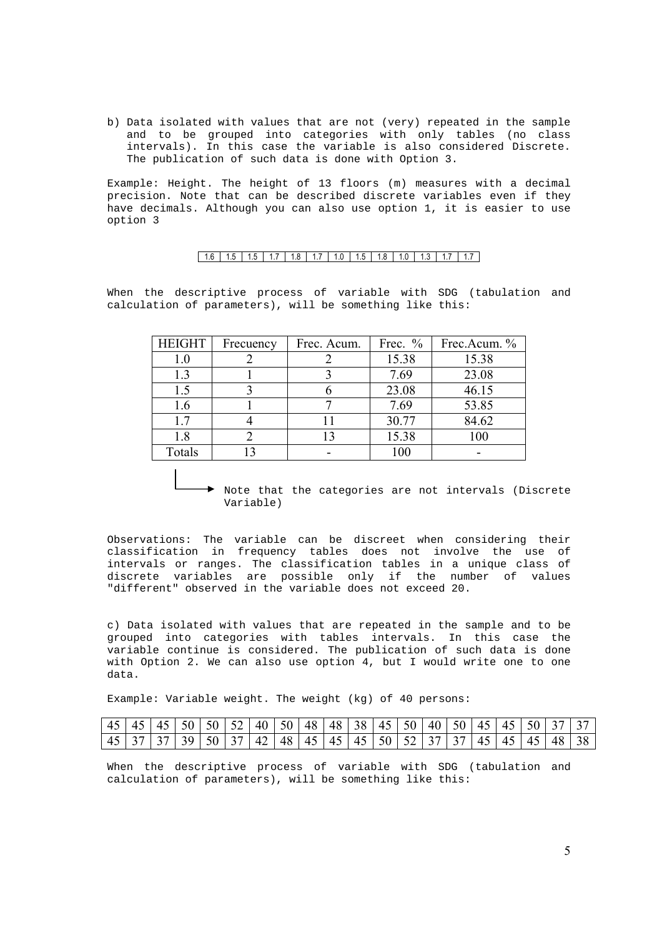b) Data isolated with values that are not (very) repeated in the sample and to be grouped into categories with only tables (no class intervals). In this case the variable is also considered Discrete. The publication of such data is done with Option 3.

Example: Height. The height of 13 floors (m) measures with a decimal precision. Note that can be described discrete variables even if they have decimals. Although you can also use option 1, it is easier to use option 3

#### $1.6$  | 1.5 | 1.7 | 1.8 | 1.7 | 1.0 | 1.5 | 1.8 | 1.0 | 1.3 | 1.7 | 1.7 |

When the descriptive process of variable with SDG (tabulation and calculation of parameters), will be something like this:

| <b>HEIGHT</b> | Frecuency | Frec. Acum. | Frec. $%$ | Frec.Acum. % |
|---------------|-----------|-------------|-----------|--------------|
| $1.0\,$       |           |             | 15.38     | 15.38        |
| 1.3           |           |             | 7.69      | 23.08        |
| 1.5           |           |             | 23.08     | 46.15        |
| 1.6           |           |             | 7.69      | 53.85        |
| 1.7           |           |             | 30.77     | 84.62        |
| 1.8           |           | 13          | 15.38     | 100          |
| Totals        |           |             | 100       |              |

Note that the categories are not intervals (Discrete Variable)

Observations: The variable can be discreet when considering their classification in frequency tables does not involve the use of intervals or ranges. The classification tables in a unique class of discrete variables are possible only if the number of values "different" observed in the variable does not exceed 20.

c) Data isolated with values that are repeated in the sample and to be grouped into categories with tables intervals. In this case the variable continue is considered. The publication of such data is done with Option 2. We can also use option 4, but I would write one to one data.

Example: Variable weight. The weight (kg) of 40 persons:

|  |  | 45 45 45 50 50 50 52 40 50 48 48 38 45 50 40 50 45 45 50 37 37 |  |  |  |  |  |  |  |
|--|--|----------------------------------------------------------------|--|--|--|--|--|--|--|
|  |  | 45 37 37 39 50 37 42 48 45 45 45 50 52 37 37 45 45 48 38       |  |  |  |  |  |  |  |

When the descriptive process of variable with SDG (tabulation and calculation of parameters), will be something like this:

5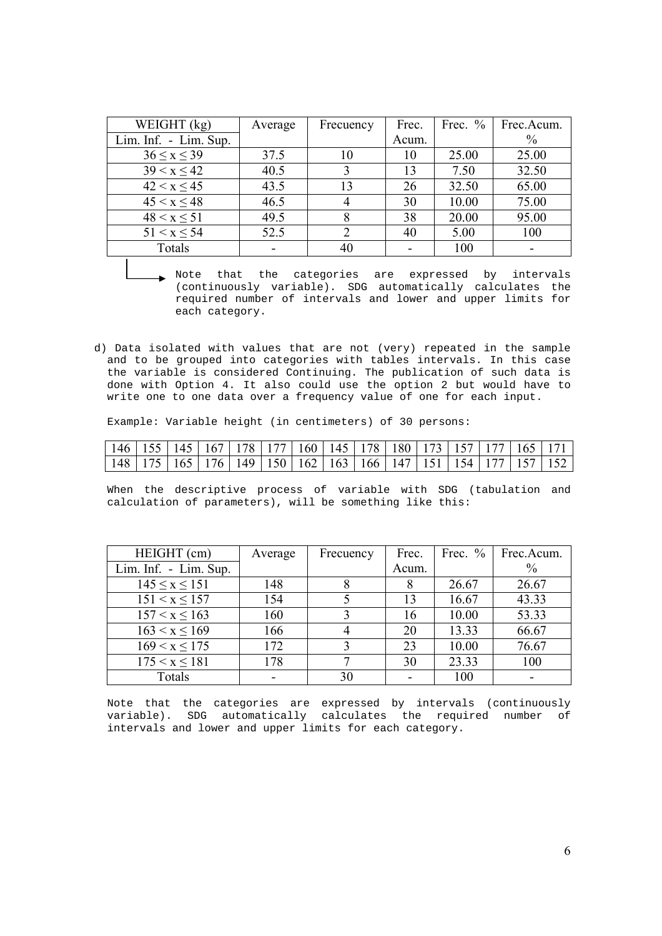| WEIGHT (kg)           | Average | Frecuency      | Frec.           | Frec. $%$ | Frec.Acum. |
|-----------------------|---------|----------------|-----------------|-----------|------------|
| Lim. Inf. - Lim. Sup. |         |                | Acum.           |           | $\%$       |
| $36 \leq x \leq 39$   | 37.5    | 10             | 10              | 25.00     | 25.00      |
| 39 < x < 42           | 40.5    | 3              | 13              | 7.50      | 32.50      |
| 42 < x < 45           | 43.5    | 13             | 26              | 32.50     | 65.00      |
| 45 < x < 48           | 46.5    | $\overline{4}$ | 30              | 10.00     | 75.00      |
| 48 < x < 51           | 49.5    | 8              | 38              | 20.00     | 95.00      |
| $51 < x \le 54$       | 52.5    | 2              | 40              | 5.00      | 100        |
| Totals                |         | 40             | $\qquad \qquad$ | 100       |            |

- Note that the categories are expressed by intervals (continuously variable). SDG automatically calculates the required number of intervals and lower and upper limits for each category.
- d) Data isolated with values that are not (very) repeated in the sample and to be grouped into categories with tables intervals. In this case the variable is considered Continuing. The publication of such data is done with Option 4. It also could use the option 2 but would have to write one to one data over a frequency value of one for each input.

Example: Variable height (in centimeters) of 30 persons:

|  |  | 146   155   145   167   178   177   160   145   178   180   173   157   177   165   171 |  |  |  |  |  |
|--|--|-----------------------------------------------------------------------------------------|--|--|--|--|--|
|  |  | 148   175   165   176   149   150   162   163   166   147   151   154   177   157   152 |  |  |  |  |  |

When the descriptive process of variable with SDG (tabulation and calculation of parameters), will be something like this:

| HEIGHT (cm)           | Average | Frecuency | Frec. | Frec. $%$ | Frec.Acum.    |
|-----------------------|---------|-----------|-------|-----------|---------------|
| Lim. Inf. - Lim. Sup. |         |           | Acum. |           | $\frac{0}{0}$ |
| $145 \leq x \leq 151$ | 148     | 8         | 8     | 26.67     | 26.67         |
| 151 < x < 157         | 154     |           | 13    | 16.67     | 43.33         |
| 157 < x < 163         | 160     |           | 16    | 10.00     | 53.33         |
| 163 < x < 169         | 166     |           | 20    | 13.33     | 66.67         |
| 169 < x < 175         | 172     |           | 23    | 10.00     | 76.67         |
| 175 < x < 181         | 178     |           | 30    | 23.33     | 100           |
| Totals                |         | 30        |       | 100       |               |

Note that the categories are expressed by intervals (continuously variable). SDG automatically calculates the required number of intervals and lower and upper limits for each category.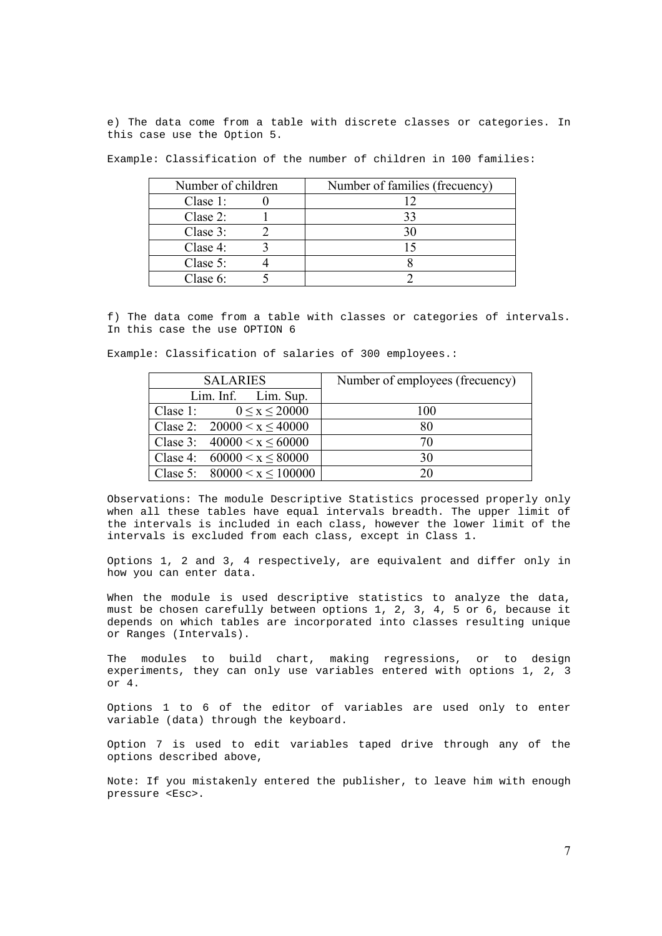e) The data come from a table with discrete classes or categories. In this case use the Option 5.

Example: Classification of the number of children in 100 families:

| Number of children  | Number of families (frecuency) |
|---------------------|--------------------------------|
| Clase $1$ :         |                                |
| $\text{Class } 2$ : | 33                             |
| Clase 3:            |                                |
| Clase $4$ :         |                                |
| Clase 5:            |                                |
| Clase 6:            |                                |

f) The data come from a table with classes or categories of intervals. In this case the use OPTION 6

Example: Classification of salaries of 300 employees.:

| <b>SALARIES</b>                  | Number of employees (frecuency) |
|----------------------------------|---------------------------------|
| $Lim.$ Inf. $Lim.$ Sup.          |                                 |
| Clase 1: $0 \le x \le 20000$     | 100                             |
| Clase 2: $20000 < x \le 40000$   | 80                              |
| Clase 3: $40000 \le x \le 60000$ | 70                              |
| Clase 4: $60000 \le x \le 80000$ | 30                              |
| Clase 5: $80000 < x \le 100000$  | 20                              |

Observations: The module Descriptive Statistics processed properly only when all these tables have equal intervals breadth. The upper limit of the intervals is included in each class, however the lower limit of the intervals is excluded from each class, except in Class 1.

Options 1, 2 and 3, 4 respectively, are equivalent and differ only in how you can enter data.

When the module is used descriptive statistics to analyze the data, must be chosen carefully between options 1, 2, 3, 4, 5 or 6, because it depends on which tables are incorporated into classes resulting unique or Ranges (Intervals).

The modules to build chart, making regressions, or to design experiments, they can only use variables entered with options 1, 2, 3 or 4.

Options 1 to 6 of the editor of variables are used only to enter variable (data) through the keyboard.

Option 7 is used to edit variables taped drive through any of the options described above,

Note: If you mistakenly entered the publisher, to leave him with enough pressure <Esc>.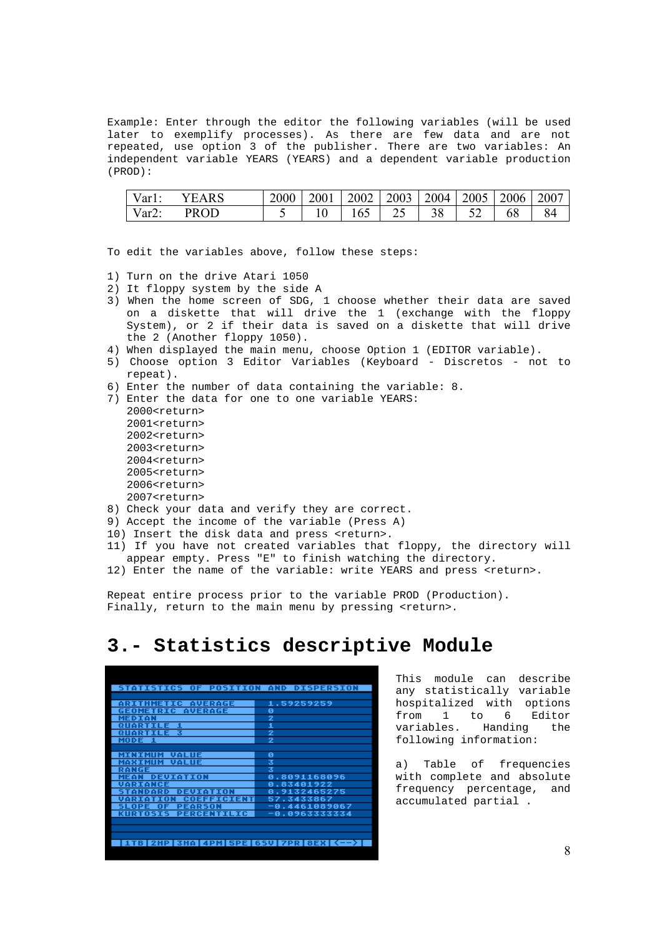Example: Enter through the editor the following variables (will be used later to exemplify processes). As there are few data and are not repeated, use option 3 of the publisher. There are two variables: An independent variable YEARS (YEARS) and a dependent variable production (PROD):

| $Var1$ : | <b>YEARS</b> | 2000   2001   2002   2003   2004   2005   2006   2007 |     |    |  |    |  |
|----------|--------------|-------------------------------------------------------|-----|----|--|----|--|
| $Var2$ : | <b>PROD</b>  |                                                       | 165 | 25 |  | 68 |  |

To edit the variables above, follow these steps:

- 1) Turn on the drive Atari 1050
- 2) It floppy system by the side A
- 3) When the home screen of SDG, 1 choose whether their data are saved on a diskette that will drive the 1 (exchange with the floppy System), or 2 if their data is saved on a diskette that will drive the 2 (Another floppy 1050).
- 4) When displayed the main menu, choose Option 1 (EDITOR variable).
- 5) Choose option 3 Editor Variables (Keyboard Discretos not to repeat).
- 6) Enter the number of data containing the variable: 8.
- 7) Enter the data for one to one variable YEARS:
	- 2000<return> 2001<return> 2002<return> 2003<return>  $2004$  creturn> 2005<return> 2006<return> 2007<return>
- 8) Check your data and verify they are correct.
- 9) Accept the income of the variable (Press A)
- 10) Insert the disk data and press <return>.
- 11) If you have not created variables that floppy, the directory will appear empty. Press "E" to finish watching the directory.
- 12) Enter the name of the variable: write YEARS and press <return>.

Repeat entire process prior to the variable PROD (Production). Finally, return to the main menu by pressing <return>.

## **3.- Statistics descriptive Module**

| <b>STATISTICS OF POSITION AND DISPERSION</b> |               |
|----------------------------------------------|---------------|
|                                              |               |
| <b>ARITHMETIC AVERAGE</b>                    | 1.59259259    |
| <b>GEOMETRIC AVERAGE</b>                     | ø             |
| <b>MEDIAN</b>                                | 2             |
| <b>QUARTILE 1</b>                            | 1             |
| <b>QUARTILE 3</b>                            | 2             |
| MODE 1                                       | 2             |
|                                              |               |
| <b>MINIMUM VALUE</b>                         | ø             |
| <b>MAXIMUM VALUE</b>                         | 3             |
| RANGE                                        | 3             |
| <b>MEAN DEUIATION</b>                        | 0.8091168096  |
| UARIANCE                                     | 0.83401922    |
| <b>DEUIATION</b><br><b>TANDARD</b>           | 0.9132465275  |
| <b>VARIATION COEFFICIENT</b>                 | 57.3433867    |
| <b>PEARSON</b><br>SLOPE OF                   | -0.4461089067 |
| <b>KURTOSIS PERCENTILIC</b>                  | -0.0963333334 |
|                                              |               |
|                                              |               |
|                                              |               |
| 1TB 2HP 3HA 4PM 5PE 65V 7PR 8EX (-->)        |               |
|                                              |               |

This module can describe any statistically variable hospitalized with options from 1 to 6 Editor variables. Handing the following information:

a) Table of frequencies with complete and absolute frequency percentage, and accumulated partial .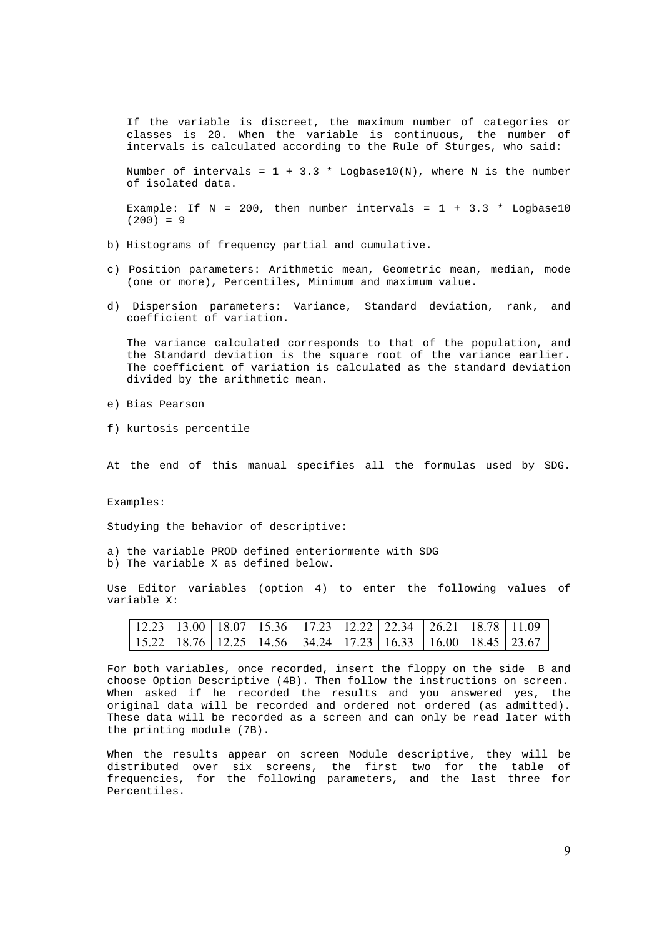If the variable is discreet, the maximum number of categories or classes is 20. When the variable is continuous, the number of intervals is calculated according to the Rule of Sturges, who said:

Number of intervals =  $1 + 3.3 *$  Logbase10(N), where N is the number of isolated data.

Example: If  $N = 200$ , then number intervals =  $1 + 3.3 *$  Logbase10  $(200) = 9$ 

- b) Histograms of frequency partial and cumulative.
- c) Position parameters: Arithmetic mean, Geometric mean, median, mode (one or more), Percentiles, Minimum and maximum value.
- d) Dispersion parameters: Variance, Standard deviation, rank, and coefficient of variation.

The variance calculated corresponds to that of the population, and the Standard deviation is the square root of the variance earlier. The coefficient of variation is calculated as the standard deviation divided by the arithmetic mean.

- e) Bias Pearson
- f) kurtosis percentile

At the end of this manual specifies all the formulas used by SDG.

Examples:

Studying the behavior of descriptive:

a) the variable PROD defined enteriormente with SDG b) The variable X as defined below.

Use Editor variables (option 4) to enter the following values of variable X:

|  | $12.23$   13.00   18.07   15.36   17.23   12.22   22.34   26.21   18.78   11.09 |  |  |  |
|--|---------------------------------------------------------------------------------|--|--|--|
|  | $15.22$   18.76   12.25   14.56   34.24   17.23   16.33   16.00   18.45   23.67 |  |  |  |

For both variables, once recorded, insert the floppy on the side B and choose Option Descriptive (4B). Then follow the instructions on screen. When asked if he recorded the results and you answered yes, the original data will be recorded and ordered not ordered (as admitted). These data will be recorded as a screen and can only be read later with the printing module (7B).

When the results appear on screen Module descriptive, they will be distributed over six screens, the first two for the table of frequencies, for the following parameters, and the last three for Percentiles.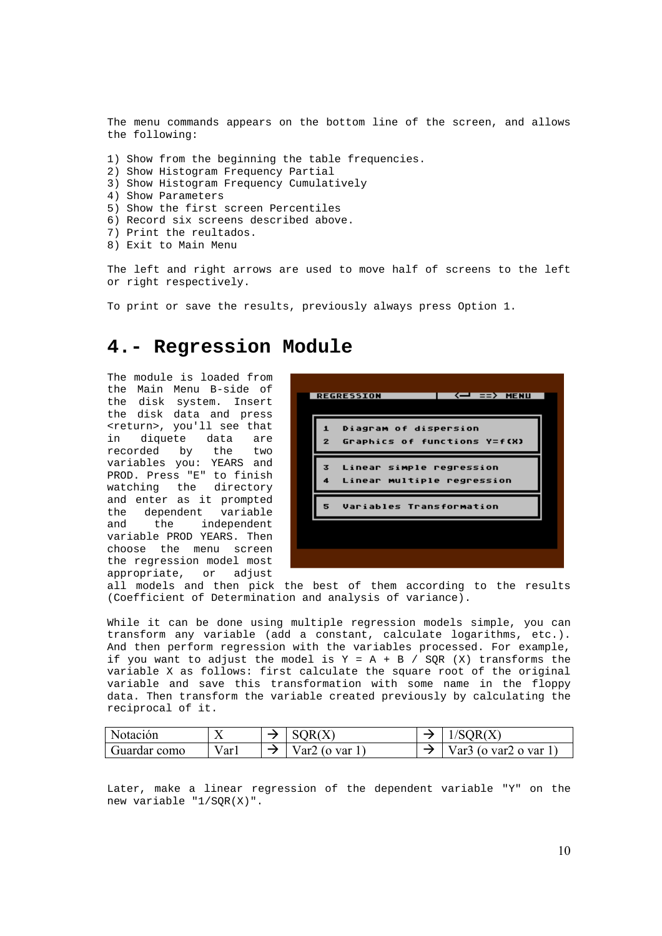The menu commands appears on the bottom line of the screen, and allows the following:

1) Show from the beginning the table frequencies.

- 2) Show Histogram Frequency Partial
- 3) Show Histogram Frequency Cumulatively
- 4) Show Parameters
- 5) Show the first screen Percentiles
- 6) Record six screens described above.
- 7) Print the reultados.
- 8) Exit to Main Menu

The left and right arrows are used to move half of screens to the left or right respectively.

To print or save the results, previously always press Option 1.

## **4.- Regression Module**

The module is loaded from the Main Menu B-side of the disk system. Insert the disk data and press <return>, you'll see that in diquete data are recorded by the two variables you: YEARS and PROD. Press "E" to finish watching the directory and enter as it prompted the dependent variable and the independent variable PROD YEARS. Then choose the menu screen the regression model most appropriate, or adjust

|                   | <b>REGRESSION</b><br><— ==> MENU                       |
|-------------------|--------------------------------------------------------|
| 1<br>$\mathbf{z}$ | Diagram of dispersion<br>Graphics of functions Y=f(X)  |
| 3<br>4            | Linear simple regression<br>Linear multiple regression |
| 5.                | Variables Transformation                               |
|                   |                                                        |
|                   |                                                        |

all models and then pick the best of them according to the results (Coefficient of Determination and analysis of variance).

While it can be done using multiple regression models simple, you can transform any variable (add a constant, calculate logarithms, etc.). And then perform regression with the variables processed. For example, if you want to adjust the model is  $Y = A + B / SQR$  (X) transforms the variable X as follows: first calculate the square root of the original variable and save this transformation with some name in the floppy data. Then transform the variable created previously by calculating the reciprocal of it.

| Notación     | ∡⊾   | OR(X)             | /SQR(X`                        |
|--------------|------|-------------------|--------------------------------|
| Guardar como | Varl | Var2 (o var $1$ , | Var $3$ (o var $2$ o var $1$ , |

Later, make a linear regression of the dependent variable "Y" on the new variable "1/SQR(X)".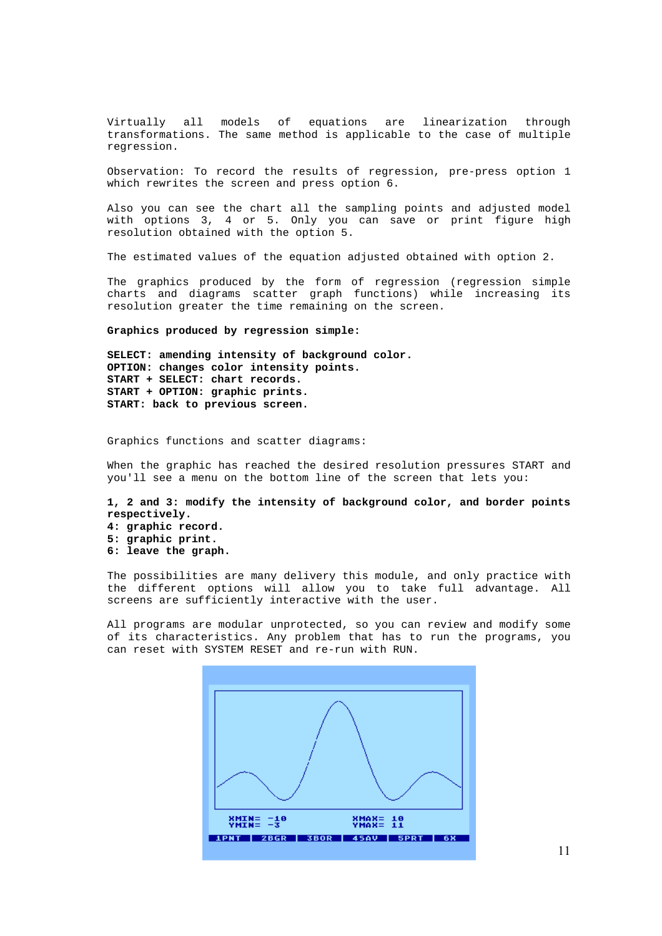Virtually all models of equations are linearization through transformations. The same method is applicable to the case of multiple regression.

Observation: To record the results of regression, pre-press option 1 which rewrites the screen and press option 6.

Also you can see the chart all the sampling points and adjusted model with options 3, 4 or 5. Only you can save or print figure high resolution obtained with the option 5.

The estimated values of the equation adjusted obtained with option 2.

The graphics produced by the form of regression (regression simple charts and diagrams scatter graph functions) while increasing its resolution greater the time remaining on the screen.

#### **Graphics produced by regression simple:**

**SELECT: amending intensity of background color. OPTION: changes color intensity points. START + SELECT: chart records. START + OPTION: graphic prints. START: back to previous screen.** 

Graphics functions and scatter diagrams:

When the graphic has reached the desired resolution pressures START and you'll see a menu on the bottom line of the screen that lets you:

**1, 2 and 3: modify the intensity of background color, and border points respectively.** 

**4: graphic record. 5: graphic print. 6: leave the graph.** 

The possibilities are many delivery this module, and only practice with the different options will allow you to take full advantage. All screens are sufficiently interactive with the user.

All programs are modular unprotected, so you can review and modify some of its characteristics. Any problem that has to run the programs, you can reset with SYSTEM RESET and re-run with RUN.

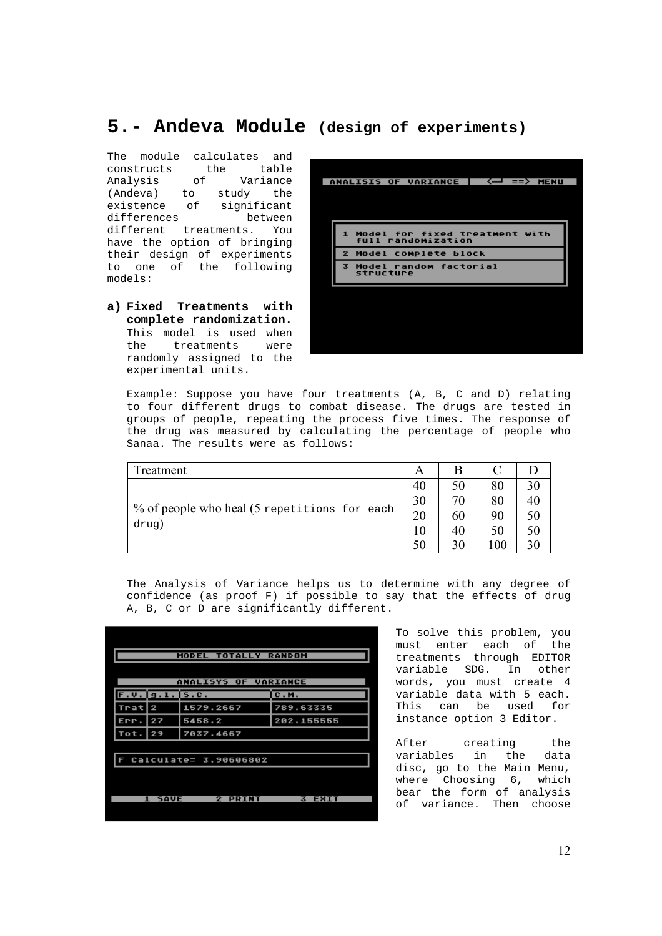# **5.- Andeva Module (design of experiments)**

The module calculates and constructs the table<br>Analysis of Variance Analysis of Variance (Andeva) to study the<br>existence of significant significant differences between different treatments. You have the option of bringing their design of experiments to one of the following models:

**a) Fixed Treatments with complete randomization.** This model is used when the treatments were randomly assigned to the experimental units.

| $\left\langle -\right\rangle$ ==> MENU<br>ANALISIS OF VARIANCE                   |  |
|----------------------------------------------------------------------------------|--|
|                                                                                  |  |
| 1 Model for fixed treatment with<br>full randomization<br>2 Model complete block |  |
| 3 Model random factorial<br>structure                                            |  |
|                                                                                  |  |
|                                                                                  |  |
|                                                                                  |  |

Example: Suppose you have four treatments (A, B, C and D) relating to four different drugs to combat disease. The drugs are tested in groups of people, repeating the process five times. The response of the drug was measured by calculating the percentage of people who Sanaa. The results were as follows:

| Freatment                                    |    | B  |     |    |
|----------------------------------------------|----|----|-----|----|
|                                              | 40 | 50 | 80  | 30 |
|                                              | 30 | 70 | 80  | 40 |
| % of people who heal (5 repetitions for each | 20 | 60 | 90  | 50 |
| drug)                                        | 10 | 40 | 50  | 50 |
|                                              | 50 | 30 | 100 | 30 |

The Analysis of Variance helps us to determine with any degree of confidence (as proof F) if possible to say that the effects of drug A, B, C or D are significantly different.

|      |                             |           | MODEL TOTALLY RANDOM           |                  |
|------|-----------------------------|-----------|--------------------------------|------------------|
|      |                             |           | <b>ANALISYS OF VARIANCE</b>    |                  |
|      |                             |           |                                |                  |
|      | $F. V.$ $g. 1.$ $5.0.$      |           |                                | <b>C.M.</b>      |
| Trat | 2                           | 1579.2667 |                                | 789.63335        |
| Err. | 27                          | 5458.2    |                                | 202.155555       |
| Tot. | 29                          | 7037.4667 |                                |                  |
|      |                             |           |                                |                  |
|      |                             |           | Calculate= 3.90606802          |                  |
|      |                             |           |                                |                  |
|      |                             |           |                                |                  |
|      | <b>SAVE</b><br>$\mathbf{1}$ |           | $\overline{2}$<br><b>PRINT</b> | उ<br><b>EXIT</b> |
|      |                             |           |                                |                  |

To solve this problem, you must enter each of the treatments through EDITOR variable SDG. In other words, you must create 4 variable data with 5 each. This can be used for instance option 3 Editor.

After creating the variables in the data disc, go to the Main Menu, where Choosing 6, which bear the form of analysis of variance. Then choose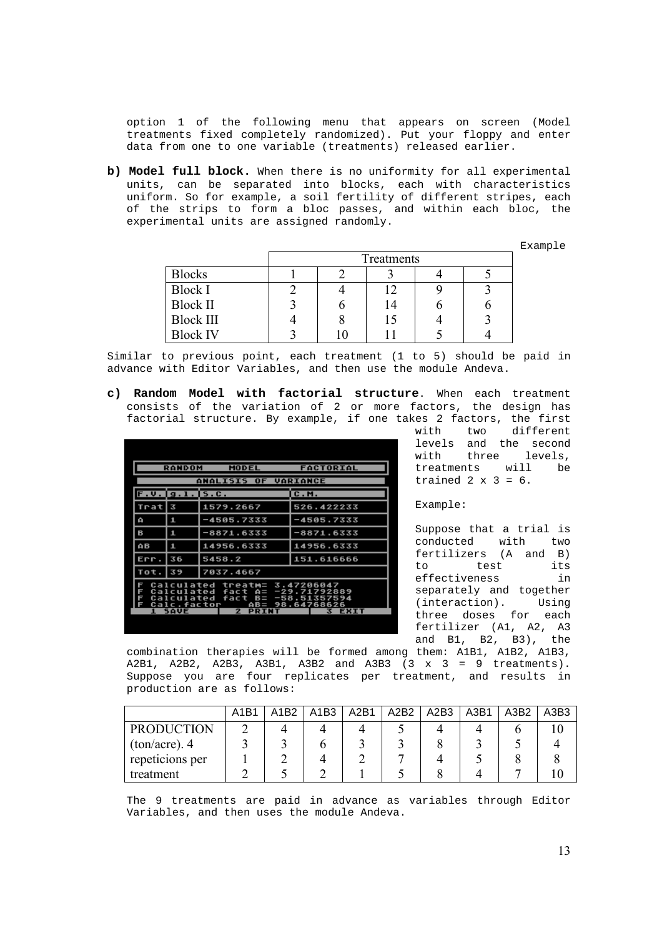option 1 of the following menu that appears on screen (Model treatments fixed completely randomized). Put your floppy and enter data from one to one variable (treatments) released earlier.

**b) Model full block.** When there is no uniformity for all experimental units, can be separated into blocks, each with characteristics uniform. So for example, a soil fertility of different stripes, each of the strips to form a bloc passes, and within each bloc, the experimental units are assigned randomly.

Example

|                  | Treatments |    |   |  |  |  |
|------------------|------------|----|---|--|--|--|
| <b>Blocks</b>    |            |    |   |  |  |  |
| <b>Block I</b>   |            | 12 |   |  |  |  |
| <b>Block II</b>  |            | 14 | U |  |  |  |
| <b>Block III</b> |            | 15 |   |  |  |  |
| <b>Block IV</b>  |            |    |   |  |  |  |

Similar to previous point, each treatment (1 to 5) should be paid in advance with Editor Variables, and then use the module Andeva.

**c) Random Model with factorial structure**. When each treatment consists of the variation of 2 or more factors, the design has factorial structure. By example, if one takes 2 factors, the first

|                  | <b>RANDOM</b>                                         | <b>MODEL</b>                                                 | <b>FACTORIAL</b>              |  |  |  |  |  |
|------------------|-------------------------------------------------------|--------------------------------------------------------------|-------------------------------|--|--|--|--|--|
|                  | <b>ANALISIS OF</b><br><b>VARIANCE</b>                 |                                                              |                               |  |  |  |  |  |
|                  | $F. V.$   g. l.   5. C.                               |                                                              | IC.M.                         |  |  |  |  |  |
| Trat             | उ                                                     | 1579.2667                                                    | 526.422233                    |  |  |  |  |  |
| ۵                | 1                                                     | -4505.7333                                                   | -4505.7333                    |  |  |  |  |  |
| в                | 1                                                     | $-8871.6333$                                                 | -8871.6333                    |  |  |  |  |  |
| AВ               | 1                                                     | 14956.6333                                                   | 14956.6333                    |  |  |  |  |  |
| Err.             | 36                                                    | 5458.2                                                       | 151.616666                    |  |  |  |  |  |
| Tot.             | 39                                                    | 7037.4667                                                    |                               |  |  |  |  |  |
| G<br>F<br>F<br>F | Calculated<br>Calculated<br>Calculated<br>Calc.factor | treatm= 3.47206047<br>fact A= -29.71792889<br>fact B=<br>AB= | $-58.51357594$<br>98.64768626 |  |  |  |  |  |
|                  | 1 SAVE                                                | $\mathbf{z}$<br>PRINT                                        | EXIT<br>ĸ                     |  |  |  |  |  |

with two different levels and the second with three levels, treatments will be trained  $2 \times 3 = 6$ .

Example:

Suppose that a trial is conducted with two fertilizers (A and B) to test its effectiveness in separately and together (interaction). Using three doses for each fertilizer (A1, A2, A3 and B1, B2, B3), the

combination therapies will be formed among them: A1B1, A1B2, A1B3, A2B1, A2B2, A2B3, A3B1, A3B2 and A3B3  $(3 \times 3 = 9$  treatments). Suppose you are four replicates per treatment, and results in production are as follows:

|                   | A1B1 | $\triangle$ 1R2 | A1B3 | A2B1 | A <sub>2</sub> B <sub>2</sub> | A2B3 | A3B1 | A3B <sub>2</sub> | A3B3 |
|-------------------|------|-----------------|------|------|-------------------------------|------|------|------------------|------|
| <b>PRODUCTION</b> |      |                 |      |      |                               |      |      |                  |      |
| $ton/acre)$ . 4   |      |                 |      |      |                               |      |      |                  |      |
| repeticions per   |      |                 |      |      |                               |      |      |                  |      |
| treatment         |      |                 |      |      |                               |      |      |                  |      |

The 9 treatments are paid in advance as variables through Editor Variables, and then uses the module Andeva.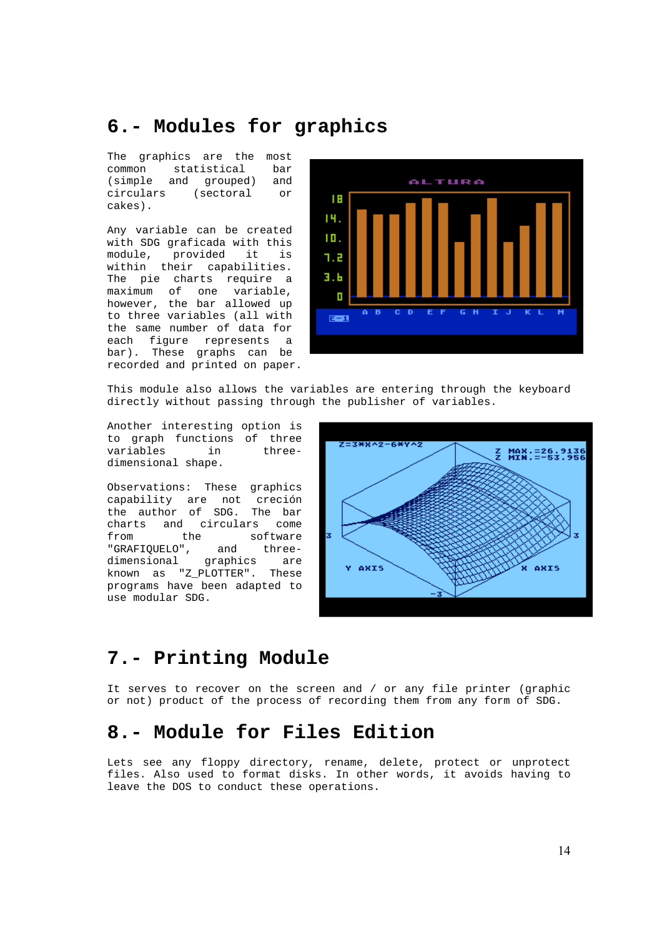# **6.- Modules for graphics**

The graphics are the most common statistical bar (simple and grouped) and circulars (sectoral or cakes).

Any variable can be created with SDG graficada with this module, provided it is within their capabilities. The pie charts require a maximum of one variable, however, the bar allowed up to three variables (all with the same number of data for each figure represents a bar). These graphs can be recorded and printed on paper.



This module also allows the variables are entering through the keyboard directly without passing through the publisher of variables.

Another interesting option is to graph functions of three variables in threedimensional shape.

Observations: These graphics capability are not creción the author of SDG. The bar charts and circulars come from the software "GRAFIQUELO", and threedimensional graphics are known as "Z\_PLOTTER". These programs have been adapted to use modular SDG.



# **7.- Printing Module**

It serves to recover on the screen and / or any file printer (graphic or not) product of the process of recording them from any form of SDG.

## **8.- Module for Files Edition**

Lets see any floppy directory, rename, delete, protect or unprotect files. Also used to format disks. In other words, it avoids having to leave the DOS to conduct these operations.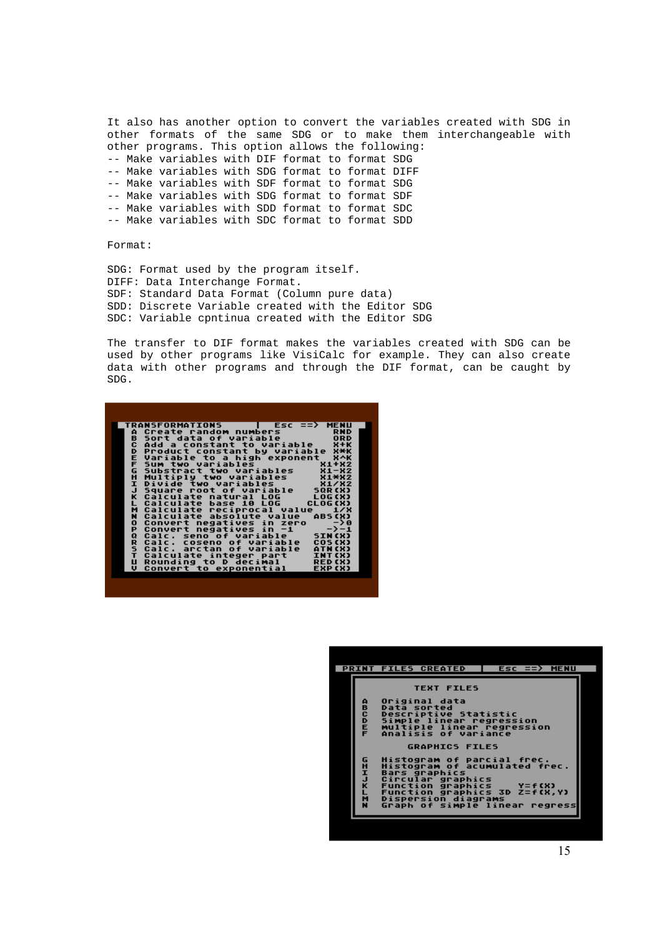It also has another option to convert the variables created with SDG in other formats of the same SDG or to make them interchangeable with other programs. This option allows the following: -- Make variables with DIF format to format SDG -- Make variables with SDG format to format DIFF -- Make variables with SDF format to format SDG -- Make variables with SDG format to format SDF -- Make variables with SDD format to format SDC -- Make variables with SDC format to format SDD

Format:

SDG: Format used by the program itself. DIFF: Data Interchange Format. SDF: Standard Data Format (Column pure data) SDD: Discrete Variable created with the Editor SDG SDC: Variable cpntinua created with the Editor SDG

The transfer to DIF format makes the variables created with SDG can be used by other programs like VisiCalc for example. They can also create data with other programs and through the DIF format, can be caught by SDG.



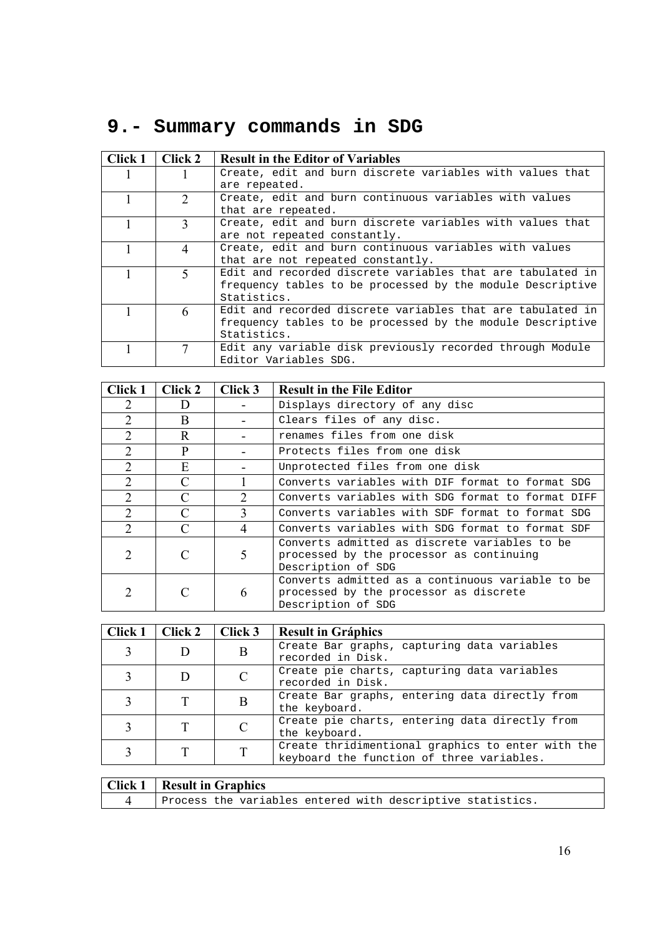# **9.- Summary commands in SDG**

| Click 1 | Click 2        | <b>Result in the Editor of Variables</b>                   |
|---------|----------------|------------------------------------------------------------|
|         |                | Create, edit and burn discrete variables with values that  |
|         |                | are repeated.                                              |
|         | $\mathcal{D}$  | Create, edit and burn continuous variables with values     |
|         |                | that are repeated.                                         |
|         | $\mathbf{3}$   | Create, edit and burn discrete variables with values that  |
|         |                | are not repeated constantly.                               |
|         | $\overline{4}$ | Create, edit and burn continuous variables with values     |
|         |                | that are not repeated constantly.                          |
|         | 5              | Edit and recorded discrete variables that are tabulated in |
|         |                | frequency tables to be processed by the module Descriptive |
|         |                | Statistics.                                                |
|         | 6              | Edit and recorded discrete variables that are tabulated in |
|         |                | frequency tables to be processed by the module Descriptive |
|         |                | Statistics.                                                |
|         |                | Edit any variable disk previously recorded through Module  |
|         |                | Editor Variables SDG.                                      |

| Click 1        | Click 2                     | Click 3                     | <b>Result in the File Editor</b>                                                                                 |
|----------------|-----------------------------|-----------------------------|------------------------------------------------------------------------------------------------------------------|
| 2              | I)                          |                             | Displays directory of any disc                                                                                   |
| $\overline{2}$ | B                           |                             | Clears files of any disc.                                                                                        |
| 2              | R                           |                             | renames files from one disk                                                                                      |
| $\overline{2}$ | P                           |                             | Protects files from one disk                                                                                     |
| $\overline{2}$ | Е                           |                             | Unprotected files from one disk                                                                                  |
| $\overline{2}$ | $\mathcal{C}$               |                             | Converts variables with DIF format to format SDG                                                                 |
| 2              | C                           | $\mathcal{D}_{\mathcal{L}}$ | Converts variables with SDG format to format DIFF                                                                |
| $\overline{2}$ | C                           | $\mathbf{3}$                | Converts variables with SDF format to format SDG                                                                 |
| $\overline{2}$ | $\mathcal{C}$               | 4                           | Converts variables with SDG format to format SDF                                                                 |
| 2              | $\mathcal{C}_{\mathcal{C}}$ | 5                           | Converts admitted as discrete variables to be<br>processed by the processor as continuing<br>Description of SDG  |
| 2              | C                           | 6                           | Converts admitted as a continuous variable to be<br>processed by the processor as discrete<br>Description of SDG |

| Click 1 | Click 2 | $\vert$ Click 3 | <b>Result in Gráphics</b>                                                                      |
|---------|---------|-----------------|------------------------------------------------------------------------------------------------|
|         |         | B               | Create Bar graphs, capturing data variables<br>recorded in Disk.                               |
|         |         |                 | Create pie charts, capturing data variables<br>recorded in Disk.                               |
|         | Т       | B               | Create Bar graphs, entering data directly from<br>the keyboard.                                |
|         |         |                 | Create pie charts, entering data directly from<br>the keyboard.                                |
|         |         |                 | Create thridimentional graphics to enter with the<br>keyboard the function of three variables. |

| <b>Click 1</b> Result in Graphics                          |
|------------------------------------------------------------|
| Process the variables entered with descriptive statistics. |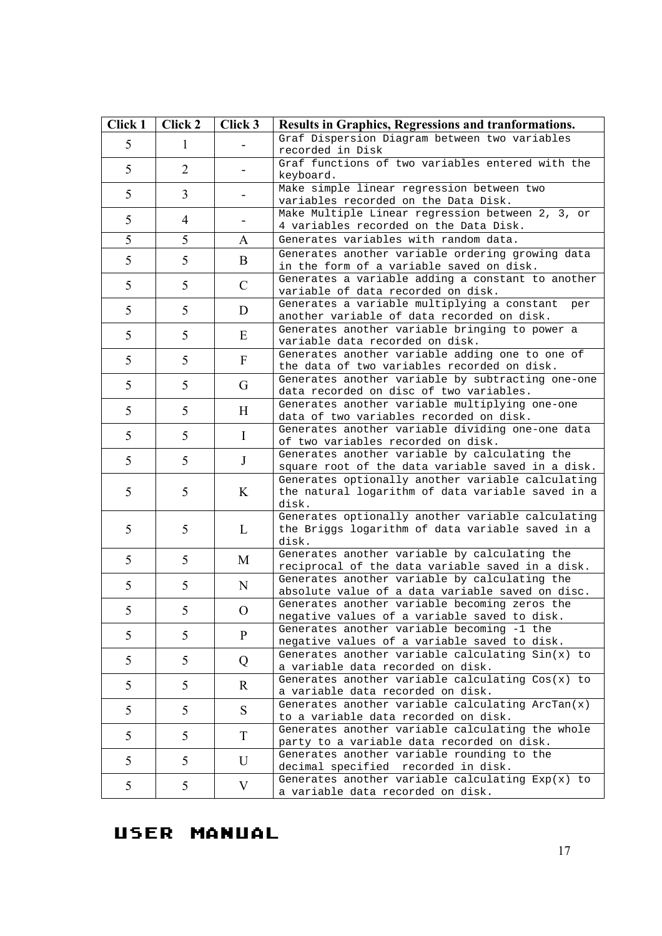| Click 1 | Click 2        | Click 3       | <b>Results in Graphics, Regressions and tranformations.</b>                                                     |
|---------|----------------|---------------|-----------------------------------------------------------------------------------------------------------------|
| 5       | 1              |               | Graf Dispersion Diagram between two variables<br>recorded in Disk                                               |
| 5       | 2              |               | Graf functions of two variables entered with the<br>keyboard.                                                   |
| 5       | $\overline{3}$ |               | Make simple linear regression between two<br>variables recorded on the Data Disk.                               |
| 5       | 4              |               | Make Multiple Linear regression between 2, 3, or<br>4 variables recorded on the Data Disk.                      |
| 5       | 5              | A             | Generates variables with random data.                                                                           |
| 5       | 5              | B             | Generates another variable ordering growing data<br>in the form of a variable saved on disk.                    |
| 5       | 5              | $\mathcal{C}$ | Generates a variable adding a constant to another<br>variable of data recorded on disk.                         |
| 5       | 5              | D             | Generates a variable multiplying a constant<br>per<br>another variable of data recorded on disk.                |
| 5       | 5              | Ε             | Generates another variable bringing to power a<br>variable data recorded on disk.                               |
| 5       | 5              | $\mathbf{F}$  | Generates another variable adding one to one of<br>the data of two variables recorded on disk.                  |
| 5       | 5              | G             | Generates another variable by subtracting one-one<br>data recorded on disc of two variables.                    |
| 5       | 5              | H             | Generates another variable multiplying one-one<br>data of two variables recorded on disk.                       |
| 5       | 5              | $\bf{I}$      | Generates another variable dividing one-one data<br>of two variables recorded on disk.                          |
| 5       | 5              | J             | Generates another variable by calculating the<br>square root of the data variable saved in a disk.              |
| 5       | 5              | K             | Generates optionally another variable calculating<br>the natural logarithm of data variable saved in a<br>disk. |
| 5       | 5              | L             | Generates optionally another variable calculating<br>the Briggs logarithm of data variable saved in a<br>disk.  |
| 5       | 5              | M             | Generates another variable by calculating the<br>reciprocal of the data variable saved in a disk.               |
| 5       | 5              | N             | Generates another variable by calculating the<br>absolute value of a data variable saved on disc.               |
| 5       | 5              | O             | Generates another variable becoming zeros the<br>negative values of a variable saved to disk.                   |
| 5       | 5              | P             | Generates another variable becoming -1 the<br>negative values of a variable saved to disk.                      |
| 5       | 5              | Q             | Generates another variable calculating Sin(x) to<br>a variable data recorded on disk.                           |
| 5       | 5              | R.            | Generates another variable calculating Cos(x) to<br>a variable data recorded on disk.                           |
| 5       | 5              | S.            | Generates another variable calculating ArcTan(x)<br>to a variable data recorded on disk.                        |
| 5       | 5              | T             | Generates another variable calculating the whole<br>party to a variable data recorded on disk.                  |
| 5       | 5              | U             | Generates another variable rounding to the<br>decimal specified recorded in disk.                               |
| 5       | 5              | V             | Generates another variable calculating $Exp(x)$ to<br>a variable data recorded on disk.                         |

# USER MANUAL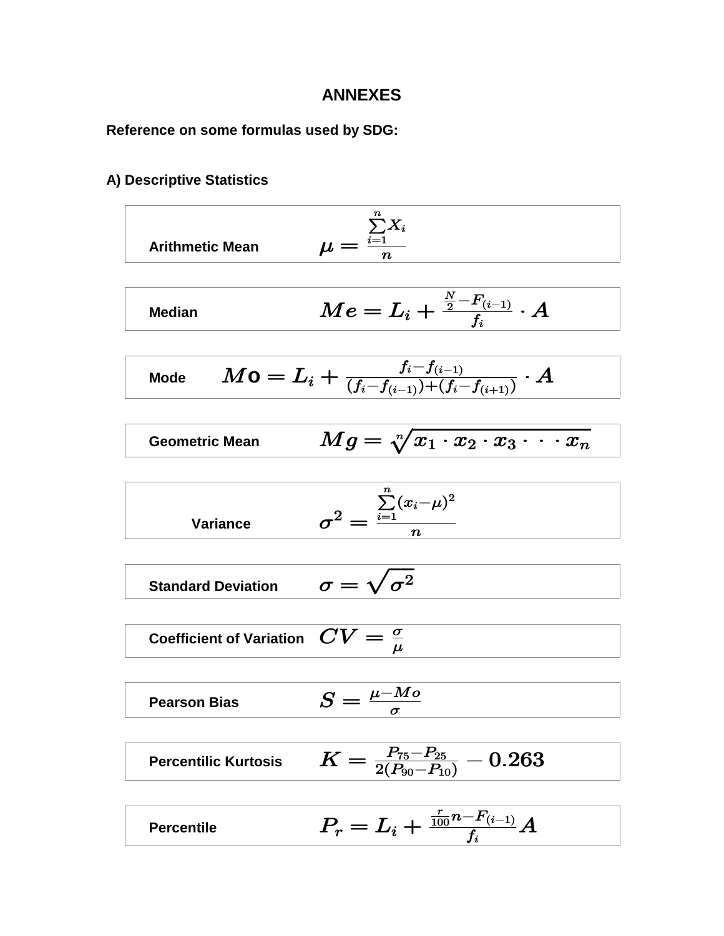### **ANNEXES**

**Reference on some formulas used by SDG:**

#### **A) Descriptive Statistics**

Arithmetic Mean

\n
$$
\mu = \frac{\sum_{i=1}^{n} X_i}{n}
$$

Median 
$$
Me = L_i + \frac{\frac{N}{2} - F_{(i-1)}}{f_i} \cdot A
$$

$$
\text{Mode} \qquad M \textsf{O} = L_i + \tfrac{f_i - f_{(i-1)}}{(f_i - f_{(i-1)}) + (f_i - f_{(i+1)})} \cdot A
$$

Geometric Mean 
$$
Mg = \sqrt[n]{x_1 \cdot x_2 \cdot x_3 \cdot \cdot \cdot x_n}
$$

$$
\text{Variance} \qquad \qquad \sigma^2 = \frac{\sum\limits_{i=1}^n (x_i - \mu)^2}{n}
$$

**Standard Deviation**  $\sigma = \sqrt{\sigma^2}$ 

**Coefficient of Variation**  $\mathbf{C}V = \frac{\sigma}{\mu}$ 

Pearson Bias 
$$
S = \frac{\mu - Mo}{\sigma}
$$

- Percentilic Kurtosis  $\quad K = \frac{P_{75} P_{25}}{2 (P_{90} P_{10})} 0.263$  $\frac{75-P_{25}}{2}$  $\bm{_{90}}$   $\bm{-r}_{10}$
- Percentile  $P_r = L_i + \frac{\frac{r}{100}n F_{(i-1)}}{f_i}A$  $\boldsymbol{f}$  $\frac{r}{100}n$   $F_{(i-1)}$  $\boldsymbol{i}$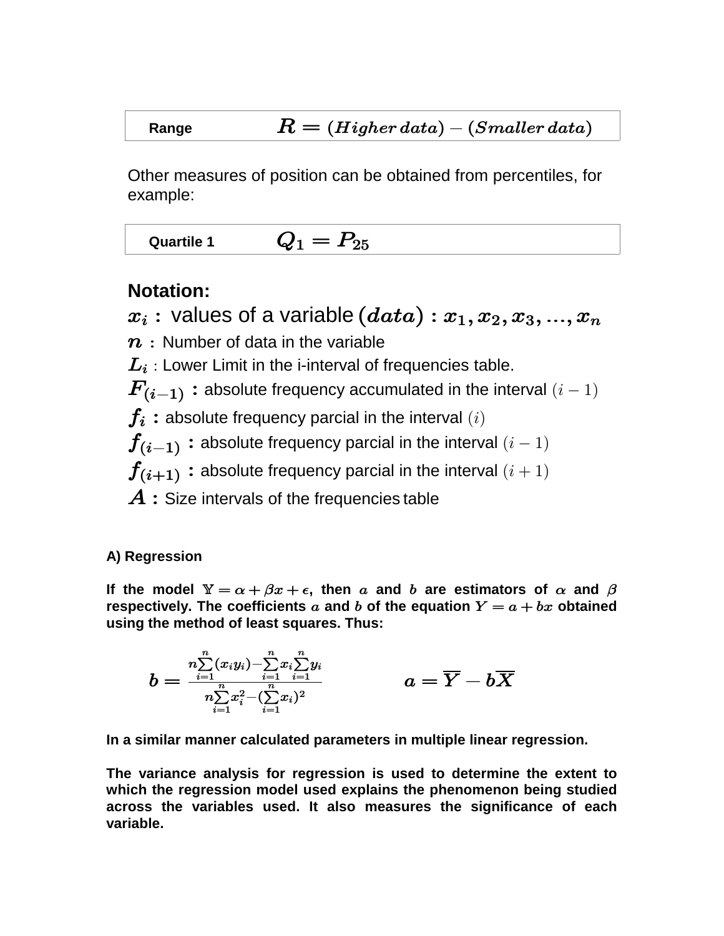# **Range**  $R = (Higher data) - (Smaller data)$

Other measures of position can be obtained from percentiles, for example:

Quartile 1  $Q_1 = P_{25}$ 

## **Notation:**

 $x_i$ : values of a variable  $(data)$ :  $x_1, x_2, x_3, ..., x_n$ 

 $n:$  Number of data in the variable

 $\boldsymbol{L_{i}}$  : Lower Limit in the i-interval of frequencies table.

 $\boldsymbol{F_{(i-1)}}:$  absolute frequency accumulated in the interval  $(i-1)$ 

 $f_i$ : absolute frequency parcial in the interval  $(i)$ 

 $\boldsymbol{f_{(i-1)}}:$  absolute frequency parcial in the interval  $(i-1)$ 

 $\boldsymbol{f_{(i+1)}}$  : absolute frequency parcial in the interval  $(i+1)$ 

 $A:$  Size intervals of the frequencies table

## **A) Regression**

If the model  $\mathbb{Y} = \alpha + \beta x + \epsilon$ , then a and b are estimators of  $\alpha$  and  $\beta$ respectively. The coefficients  $a$  and  $b$  of the equation  $Y = a + bx$  obtained **using the method of least squares. Thus:**

$$
b=\frac{\sum\limits_{i=1}^{n}\left(x_{i}y_{i}\right)-\sum\limits_{i=1}^{n}x_{i}\sum\limits_{i=1}^{n}y_{i}}{\sum\limits_{i=1}^{n}x_{i}^{2}-(\sum\limits_{i=1}^{n}x_{i})^{2}}\qquad \qquad a=\overline{Y}-b\overline{X}
$$

**In a similar manner calculated parameters in multiple linear regression.**

**The variance analysis for regression is used to determine the extent to which the regression model used explains the phenomenon being studied across the variables used. It also measures the significance of each variable.**